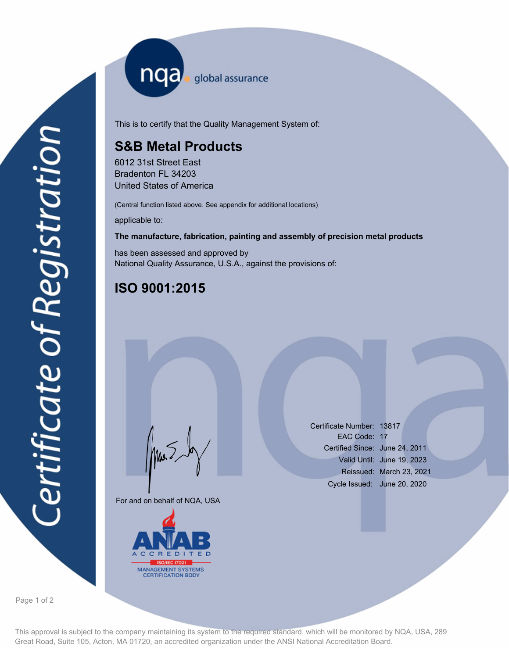nqa <sub>global assurance</sub>

This is to certify that the Quality Management System of:

# **S&B Metal Products**

6012 31st Street East Bradenton FL 34203 United States of America

(Central function listed above. See appendix for additional locations)

applicable to:

### **The manufacture, fabrication, painting and assembly of precision metal products**

has been assessed and approved by National Quality Assurance, U.S.A., against the provisions of:

# **ISO 9001:2015**

For and on behalf of NQA, USA

Mus



Certificate Number: 13817 EAC Code: 17 Certified Since: June 24, 2011 Valid Until: June 19, 2023 Reissued: March 23, 2021 Cycle Issued: June 20, 2020

Page 1 of 2

This approval is subject to the company maintaining its system to the required standard, which will be monitored by NQA, USA, 289 Great Road, Suite 105, Acton, MA 01720, an accredited organization under the ANSI National Accreditation Board.